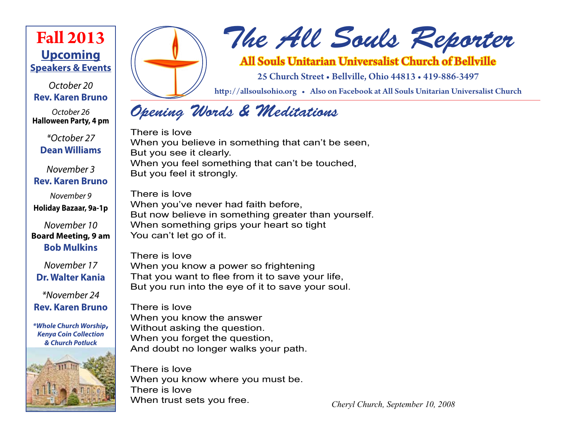# **Upcoming Speakers & Events Fall 2013**

*October 20* **Rev. Karen Bruno**

*October 26* **Halloween Party, 4 pm**

*\*October 27* **Dean Williams**

*November 3* **Rev. Karen Bruno**

*November 9* **Holiday Bazaar, 9a-1p**

*November 10* **Board Meeting, 9 am Bob Mulkins**

*November 17* **Dr. Walter Kania**

*\*November 24* **Rev. Karen Bruno**

*\*Whole Church Worship***,** *Kenya Coin Collection & Church Potluck*





# *The All Souls Reporter*

All Souls Unitarian Universalist Church of Bellville

25 Church Street • Bellville, Ohio 44813 • 419-886-3497

http://allsoulsohio.org • Also on Facebook at All Souls Unitarian Universalist Church

# *Opening Words & Meditations*

There is love When you believe in something that can't be seen, But you see it clearly. When you feel something that can't be touched, But you feel it strongly.

There is love When you've never had faith before, But now believe in something greater than yourself. When something grips your heart so tight You can't let go of it.

There is love When you know a power so frightening That you want to flee from it to save your life, But you run into the eye of it to save your soul.

There is love When you know the answer Without asking the question. When you forget the question, And doubt no longer walks your path.

There is love When you know where you must be. There is love<br>When trust sets you free.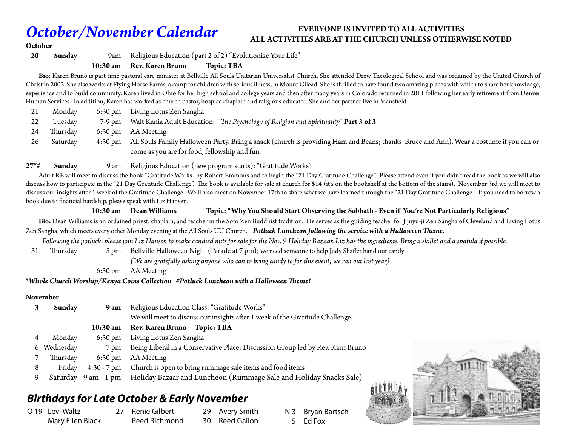# *October/November Calendar*

#### **EVERYONE IS INVITED TO ALL ACTIVITIES ALL ACTIVITIES ARE AT THE CHURCH UNLESS OTHERWISE NOTED**

#### **October**

**20 Sunday** 9am Religious Education (part 2 of 2) "Evolutionize Your Life"

**10:30 am Rev. Karen Bruno Topic: TBA**

 **Bio**: Karen Bruno is part time pastoral care minister at Bellville All Souls Unitarian Universalist Church. She attended Drew Theological School and was ordained by the United Church of Christ in 2002. She also works at Flying Horse Farms, a camp for children with serious illness, in Mount Gilead. She is thrilled to have found two amazing places with which to share her knowledge, experience and to build community. Karen lived in Ohio for her high school and college years and then after many years in Colorado returned in 2011 following her early retirement from Denver Human Services. In addition, Karen has worked as church pastor, hospice chaplain and religious educator. She and her partner live in Mansfield.

| Mondav   | 6:30 pm Living Lotus Zen Sangha                                                                                                                 |
|----------|-------------------------------------------------------------------------------------------------------------------------------------------------|
| Tuesday  | 7-9 pm Walt Kania Adult Education: "The Psychology of Religion and Spirituality" Part 3 of 3                                                    |
| Thursday | 6:30 pm AA Meeting                                                                                                                              |
| Saturday | 4:30 pm All Souls Family Halloween Party. Bring a snack (church is providing Ham and Beans; thanks Bruce and Ann). Wear a costume if you can or |
|          | come as you are for food, fellowship and fun.                                                                                                   |

#### **27\*# Sunday** 9 am Religious Education (new program starts): "Gratitude Works"

 Adult RE will meet to discuss the book "Gratitude Works" by Robert Emmons and to begin the "21 Day Gratitude Challenge". Please attend even if you didn't read the book as we will also discuss how to participate in the "21 Day Gratitude Challenge". The book is available for sale at church for \$14 (it's on the bookshelf at the bottom of the stairs). November 3rd we will meet to discuss our insights after 1 week of the Gratitude Challenge. We'll also meet on November 17th to share what we have learned through the "21 Day Gratitude Challenge." If you need to borrow a book due to financial hardship, please speak with Liz Hansen.

#### **10:30 am Dean Williams Topic: "Why You Should Start Observing the Sabbath - Even if You're Not Particularly Religious"**

Bio: Dean Williams is an ordained priest, chaplain, and teacher in the Soto Zen Buddhist tradition. He serves as the guiding teacher for Jijuyu-ji Zen Sangha of Cleveland and Living Lotus Zen Sangha, which meets every other Monday evening at the All Souls UU Church.*Potluck Luncheon following the service with a Halloween Theme.*

 *Following the potluck, please join Liz Hansen to make candied nuts for sale for the Nov. 9 Holiday Bazaar. Liz has the ingredients. Bring a skillet and a spatula if possible.*

31 Thursday 5 pm Bellville Halloween Night (Parade at 7 pm); we need someone to help Judy Shaffer hand out candy

 *(We are gratefully asking anyone who can to bring candy to for this event; we ran out last year)*

6:30 pm AA Meeting

*\*Whole Church Worship/Kenya Coins Collection #Potluck Luncheon with a Halloween Theme!*

#### **November**

|   | Sunday    | 9 am               | Religious Education Class: "Gratitude Works"                                            |  |
|---|-----------|--------------------|-----------------------------------------------------------------------------------------|--|
|   |           |                    | We will meet to discuss our insights after 1 week of the Gratitude Challenge.           |  |
|   |           | $10:30 \text{ am}$ | <b>Rev. Karen Bruno</b><br>Topic: TBA                                                   |  |
| 4 | Monday    | $6:30 \text{ pm}$  | Living Lotus Zen Sangha                                                                 |  |
| 6 | Wednesday | $7 \,\mathrm{pm}$  | Being Liberal in a Conservative Place: Discussion Group led by Rev. Karn Bruno          |  |
|   | Thursday  | $6:30 \text{ pm}$  | AA Meeting                                                                              |  |
| 8 | Friday    | $4:30 - 7$ pm      | Church is open to bring rummage sale items and food items                               |  |
| 9 |           |                    | Saturday 9 am - 1 pm Holiday Bazaar and Luncheon (Rummage Sale and Holiday Snacks Sale) |  |

# *Birthdays for Late October & Early November*

| O 19 Levi Waltz  |  |  |
|------------------|--|--|
| Mary Ellen Black |  |  |

- 27 Renie Gilbert Reed Richmond
- 29 Avery Smith 30 Reed Galion

N 3 Bryan Bartsch 5 Ed Fox

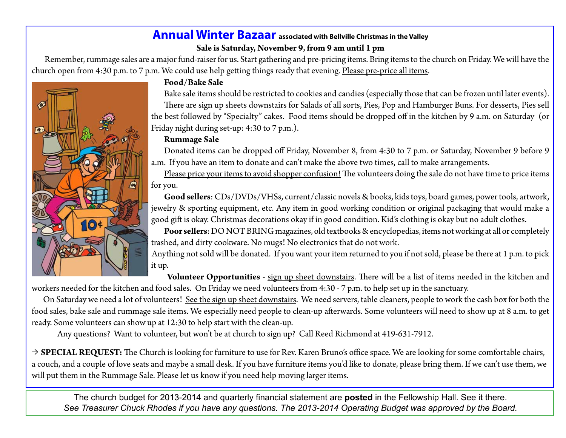## **Annual Winter Bazaar** associated with Bellville Christmas in the Valley **Sale is Saturday, November 9, from 9 am until 1 pm**

Remember, rummage sales are a major fund-raiser for us. Start gathering and pre-pricing items. Bring items to the church on Friday. We will have the church open from 4:30 p.m. to 7 p.m. We could use help getting things ready that evening. Please pre-price all items.



### **Food/Bake Sale**

Bake sale items should be restricted to cookies and candies (especially those that can be frozen until later events). There are sign up sheets downstairs for Salads of all sorts, Pies, Pop and Hamburger Buns. For desserts, Pies sell the best followed by "Specialty" cakes. Food items should be dropped off in the kitchen by 9 a.m. on Saturday (or Friday night during set-up: 4:30 to 7 p.m.).

### **Rummage Sale**

Donated items can be dropped off Friday, November 8, from 4:30 to 7 p.m. or Saturday, November 9 before 9 a.m. If you have an item to donate and can't make the above two times, call to make arrangements.

Please price your items to avoid shopper confusion! The volunteers doing the sale do not have time to price items for you.

**Good sellers**: CDs/DVDs/VHSs, current/classic novels & books, kids toys, board games, power tools, artwork, jewelry & sporting equipment, etc. Any item in good working condition or original packaging that would make a good gift is okay. Christmas decorations okay if in good condition. Kid's clothing is okay but no adult clothes.

**Poor sellers**: DO NOT BRING magazines, old textbooks & encyclopedias, items not working at all or completely trashed, and dirty cookware. No mugs! No electronics that do not work.

Anything not sold will be donated. If you want your item returned to you if not sold, please be there at 1 p.m. to pick it up.

 **Volunteer Opportunities** - sign up sheet downstairs. There will be a list of items needed in the kitchen and workers needed for the kitchen and food sales. On Friday we need volunteers from 4:30 - 7 p.m. to help set up in the sanctuary.

On Saturday we need a lot of volunteers! See the sign up sheet downstairs. We need servers, table cleaners, people to work the cash box for both the food sales, bake sale and rummage sale items. We especially need people to clean-up afterwards. Some volunteers will need to show up at 8 a.m. to get ready. Some volunteers can show up at 12:30 to help start with the clean-up.

Any questions? Want to volunteer, but won't be at church to sign up? Call Reed Richmond at 419-631-7912.

→ **SPECIAL REQUEST:** The Church is looking for furniture to use for Rev. Karen Bruno's office space. We are looking for some comfortable chairs, a couch, and a couple of love seats and maybe a small desk. If you have furniture items you'd like to donate, please bring them. If we can't use them, we will put them in the Rummage Sale. Please let us know if you need help moving larger items.

The church budget for 2013-2014 and quarterly financial statement are **posted** in the Fellowship Hall. See it there. *See Treasurer Chuck Rhodes if you have any questions. The 2013-2014 Operating Budget was approved by the Board.*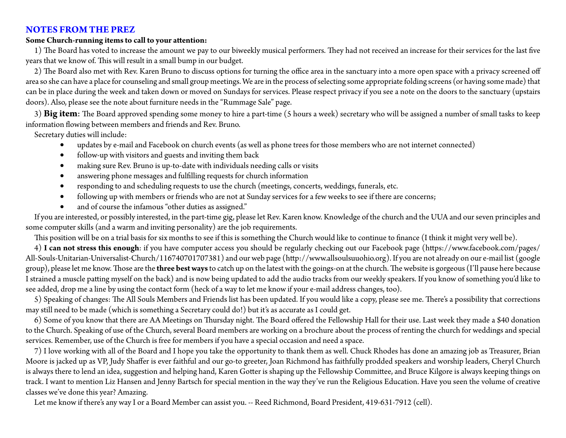#### **NOTES FROM THE PREZ**

#### **Some Church-running items to call to your attention:**

1) The Board has voted to increase the amount we pay to our biweekly musical performers. They had not received an increase for their services for the last five years that we know of. This will result in a small bump in our budget.

2) The Board also met with Rev. Karen Bruno to discuss options for turning the office area in the sanctuary into a more open space with a privacy screened off area so she can have a place for counseling and small group meetings. We are in the process of selecting some appropriate folding screens (or having some made) that can be in place during the week and taken down or moved on Sundays for services. Please respect privacy if you see a note on the doors to the sanctuary (upstairs doors). Also, please see the note about furniture needs in the "Rummage Sale" page.

3) **Big item**: The Board approved spending some money to hire a part-time (5 hours a week) secretary who will be assigned a number of small tasks to keep information flowing between members and friends and Rev. Bruno.

Secretary duties will include:

- updates by e-mail and Facebook on church events (as well as phone trees for those members who are not internet connected)
- follow-up with visitors and guests and inviting them back
- making sure Rev. Bruno is up-to-date with individuals needing calls or visits
- answering phone messages and fulfilling requests for church information
- • responding to and scheduling requests to use the church (meetings, concerts, weddings, funerals, etc.
- following up with members or friends who are not at Sunday services for a few weeks to see if there are concerns;
- and of course the infamous "other duties as assigned."

If you are interested, or possibly interested, in the part-time gig, please let Rev. Karen know. Knowledge of the church and the UUA and our seven principles and some computer skills (and a warm and inviting personality) are the job requirements.

This position will be on a trial basis for six months to see if this is something the Church would like to continue to finance (I think it might very well be).

4) **I can not stress this enough**: if you have computer access you should be regularly checking out our Facebook page (https://www.facebook.com/pages/ All-Souls-Unitarian-Universalist-Church/116740701707381) and our web page (http://www.allsoulsuuohio.org). If you are not already on our e-mail list (google group), please let me know. Those are the **three best ways** to catch up on the latest with the goings-on at the church. The website is gorgeous (I'll pause here because I strained a muscle patting myself on the back) and is now being updated to add the audio tracks from our weekly speakers. If you know of something you'd like to see added, drop me a line by using the contact form (heck of a way to let me know if your e-mail address changes, too).

5) Speaking of changes: The All Souls Members and Friends list has been updated. If you would like a copy, please see me. There's a possibility that corrections may still need to be made (which is something a Secretary could do!) but it's as accurate as I could get.

6) Some of you know that there are AA Meetings on Thursday night. The Board offered the Fellowship Hall for their use. Last week they made a \$40 donation to the Church. Speaking of use of the Church, several Board members are working on a brochure about the process of renting the church for weddings and special services. Remember, use of the Church is free for members if you have a special occasion and need a space.

7) I love working with all of the Board and I hope you take the opportunity to thank them as well. Chuck Rhodes has done an amazing job as Treasurer, Brian Moore is jacked up as VP, Judy Shaffer is ever faithful and our go-to greeter, Joan Richmond has faithfully prodded speakers and worship leaders, Cheryl Church is always there to lend an idea, suggestion and helping hand, Karen Gotter is shaping up the Fellowship Committee, and Bruce Kilgore is always keeping things on track. I want to mention Liz Hansen and Jenny Bartsch for special mention in the way they've run the Religious Education. Have you seen the volume of creative classes we've done this year? Amazing.

Let me know if there's any way I or a Board Member can assist you. -- Reed Richmond, Board President, 419-631-7912 (cell).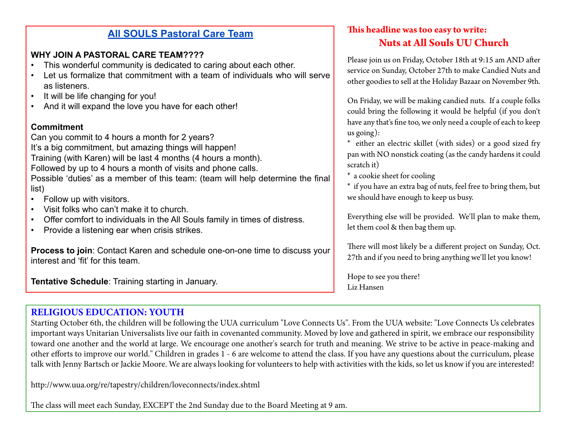# **All SOULS Pastoral Care Team**

# **WHY JOIN A PASTORAL CARE TEAM????**

- This wonderful community is dedicated to caring about each other.
- Let us formalize that commitment with a team of individuals who will serve as listeners.
- It will be life changing for you!
- And it will expand the love you have for each other!

### **Commitment**

Can you commit to 4 hours a month for 2 years? It's a big commitment, but amazing things will happen! Training (with Karen) will be last 4 months (4 hours a month). Followed by up to 4 hours a month of visits and phone calls. Possible 'duties' as a member of this team: (team will help determine the final list)

- Follow up with visitors.
- Visit folks who can't make it to church.
- Offer comfort to individuals in the All Souls family in times of distress.
- Provide a listening ear when crisis strikes.

**Process to join**: Contact Karen and schedule one-on-one time to discuss your interest and 'fit' for this team.

**Tentative Schedule**: Training starting in January.

# **This headline was too easy to write: Nuts at All Souls UU Church**

Please join us on Friday, October 18th at 9:15 am AND after service on Sunday, October 27th to make Candied Nuts and other goodies to sell at the Holiday Bazaar on November 9th.

On Friday, we will be making candied nuts. If a couple folks could bring the following it would be helpful (if you don't have any that's fine too, we only need a couple of each to keep us going):

\* either an electric skillet (with sides) or a good sized fry pan with NO nonstick coating (as the candy hardens it could scratch it)

\* a cookie sheet for cooling

\* if you have an extra bag of nuts, feel free to bring them, but we should have enough to keep us busy.

Everything else will be provided. We'll plan to make them, let them cool & then bag them up.

There will most likely be a different project on Sunday, Oct. 27th and if you need to bring anything we'll let you know!

Hope to see you there! Liz Hansen

# **RELIGIOUS EDUCATION: YOUTH**

Starting October 6th, the children will be following the UUA curriculum "Love Connects Us". From the UUA website: "Love Connects Us celebrates important ways Unitarian Universalists live our faith in covenanted community. Moved by love and gathered in spirit, we embrace our responsibility toward one another and the world at large. We encourage one another's search for truth and meaning. We strive to be active in peace-making and other efforts to improve our world." Children in grades 1 - 6 are welcome to attend the class. If you have any questions about the curriculum, please talk with Jenny Bartsch or Jackie Moore. We are always looking for volunteers to help with activities with the kids, so let us know if you are interested!

http://www.uua.org/re/tapestry/children/loveconnects/index.shtml

The class will meet each Sunday, EXCEPT the 2nd Sunday due to the Board Meeting at 9 am.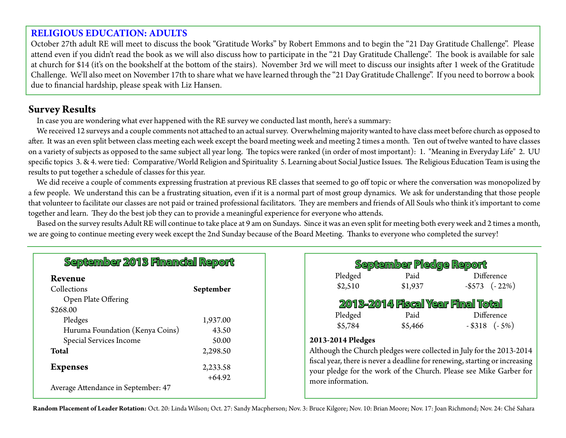### **RELIGIOUS EDUCATION: ADULTS**

October 27th adult RE will meet to discuss the book "Gratitude Works" by Robert Emmons and to begin the "21 Day Gratitude Challenge". Please attend even if you didn't read the book as we will also discuss how to participate in the "21 Day Gratitude Challenge". The book is available for sale at church for \$14 (it's on the bookshelf at the bottom of the stairs). November 3rd we will meet to discuss our insights after 1 week of the Gratitude Challenge. We'll also meet on November 17th to share what we have learned through the "21 Day Gratitude Challenge". If you need to borrow a book due to financial hardship, please speak with Liz Hansen.

### **Survey Results**

In case you are wondering what ever happened with the RE survey we conducted last month, here's a summary:

We received 12 surveys and a couple comments not attached to an actual survey. Overwhelming majority wanted to have class meet before church as opposed to after. It was an even split between class meeting each week except the board meeting week and meeting 2 times a month. Ten out of twelve wanted to have classes on a variety of subjects as opposed to the same subject all year long. The topics were ranked (in order of most important): 1. "Meaning in Everyday Life" 2. UU specific topics 3. & 4. were tied: Comparative/World Religion and Spirituality 5. Learning about Social Justice Issues. The Religious Education Team is using the results to put together a schedule of classes for this year.

We did receive a couple of comments expressing frustration at previous RE classes that seemed to go off topic or where the conversation was monopolized by a few people. We understand this can be a frustrating situation, even if it is a normal part of most group dynamics. We ask for understanding that those people that volunteer to facilitate our classes are not paid or trained professional facilitators. They are members and friends of All Souls who think it's important to come together and learn. They do the best job they can to provide a meaningful experience for everyone who attends.

Based on the survey results Adult RE will continue to take place at 9 am on Sundays. Since it was an even split for meeting both every week and 2 times a month, we are going to continue meeting every week except the 2nd Sunday because of the Board Meeting. Thanks to everyone who completed the survey!

| Revenue                         |           |
|---------------------------------|-----------|
| Collections                     | September |
| Open Plate Offering             |           |
| \$268.00                        |           |
| Pledges                         | 1,937.00  |
| Huruma Foundation (Kenya Coins) | 43.50     |
| Special Services Income         | 50.00     |
| Total                           | 2,298.50  |
| <b>Expenses</b>                 | 2,233.58  |
|                                 | $+64.92$  |

| September Pledge Report                                                     |         |                       |  |  |  |  |  |  |
|-----------------------------------------------------------------------------|---------|-----------------------|--|--|--|--|--|--|
| Pledged                                                                     | Paid    | Difference            |  |  |  |  |  |  |
| \$2,510                                                                     | \$1,937 | $-$ \$573 ( $-22\%$ ) |  |  |  |  |  |  |
| 2013-2014 Fiscal Year Final Total                                           |         |                       |  |  |  |  |  |  |
| Pledged                                                                     | Paid    | Difference            |  |  |  |  |  |  |
| \$5,784                                                                     | \$5,466 | $-$ \$318 $(-5%)$     |  |  |  |  |  |  |
| 2013-2014 Pledges                                                           |         |                       |  |  |  |  |  |  |
| Although the Church pledges were collected in July for the 2013-2014        |         |                       |  |  |  |  |  |  |
| fiscal year, there is never a deadline for renewing, starting or increasing |         |                       |  |  |  |  |  |  |
| your pledge for the work of the Church. Please see Mike Garber for          |         |                       |  |  |  |  |  |  |
| more information.                                                           |         |                       |  |  |  |  |  |  |

**Random Placement of Leader Rotation:** Oct. 20: Linda Wilson; Oct. 27: Sandy Macpherson; Nov. 3: Bruce Kilgore; Nov. 10: Brian Moore; Nov. 17: Joan Richmond; Nov. 24: Ché Sahara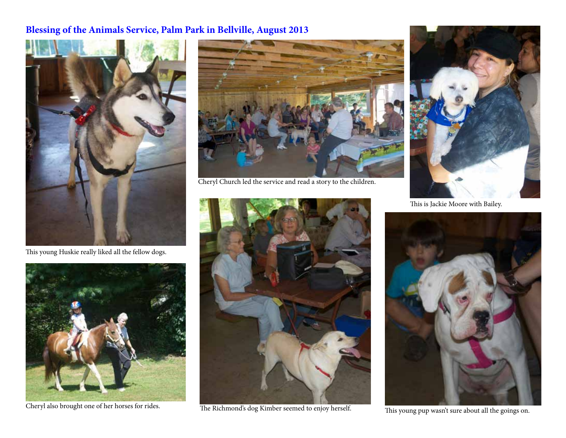# **Blessing of the Animals Service, Palm Park in Bellville, August 2013**



This young Huskie really liked all the fellow dogs.





Cheryl Church led the service and read a story to the children.



Cheryl also brought one of her horses for rides. The Richmond's dog Kimber seemed to enjoy herself.



This is Jackie Moore with Bailey.



This young pup wasn't sure about all the goings on.